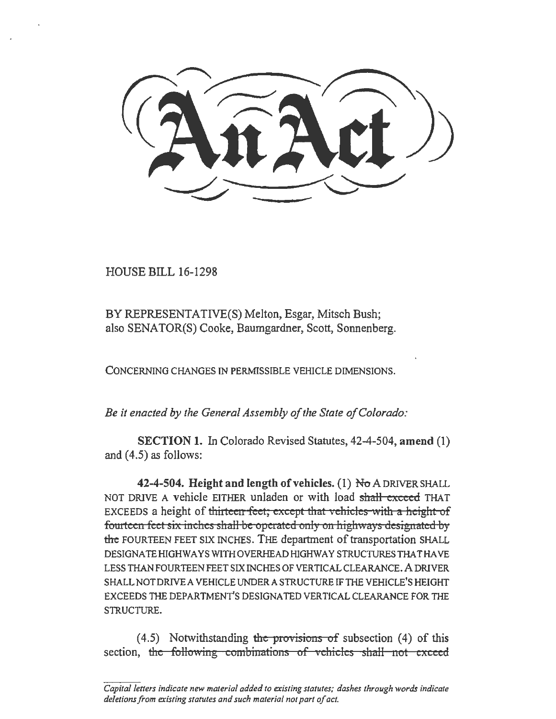HOUSE BILL 16-1298

BY REPRESENTATIVE(S) Melton, Esgar, Mitsch Bush; also SENATOR(S) Cooke, Baumgardner, Scott, Sonnenberg.

CONCERNING CHANGES IN PERMISSIBLE VEHICLE DIMENSIONS.

*Be* it *enacted by the General Assembly of the State of Colorado:* 

SECTION 1. In Colorado Revised Statutes, 42-4-504, amend (1) and  $(4.5)$  as follows:

42-4-504. Height and length of vehicles. (1)  $N\sigma$  A DRIVER SHALL NOT DRIVE A vehicle EITHER unladen or with load shall exceed THAT EXCEEDS a height of thirteen feet; except that vehicles with a height of fourteen feet six inches shall be operated only on highways designated by the FOURTEEN FEET SIX INCHES. THE department of transportation SHALL DESIGNATE HIGHWAYS WITH OVERHEAD HIGHWAY STRUCTURES THAT HAVE LESS THAN FOURTEEN FEET SIX INCHES OF VERTICAL CLEARANCE. A DRIVER SHALL NOT DRIVE A VEHICLE UNDER A STRUCTURE IF THE VEHICLE'S HEIGHT EXCEEDS THE DEPARTMENT'S DESIGNATED VERTICAL CLEARANCE FOR THE STRUCTURE.

 $(4.5)$  Notwithstanding the provisions of subsection (4) of this section, the following combinations of vehicles shall not exceed

*Capita/letters indicate new material added to existing statutes; dashes through words indicate deletions from existing statutes and such material not part of act.*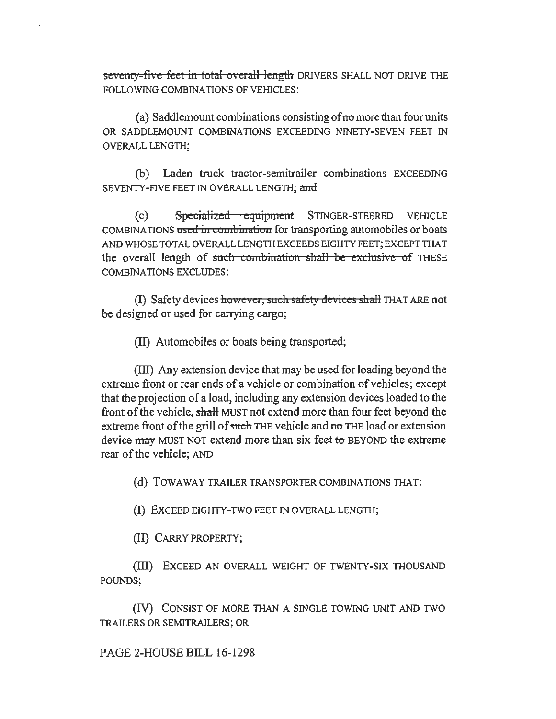seventy-five feet in total overall length DRIVERS SHALL NOT DRIVE THE FOLLOWING COMBINATIONS OF VEHICLES:

(a) Saddlemount combinations consisting of  $\pi$  more than four units OR SADDLEMOUNT COMBINATIONS EXCEEDING NINETY -SEVEN FEET IN OVERALL LENGTH;

(b) Laden truck tractor-semitrailer combinations EXCEEDING SEVENTY-FIVE FEET IN OVERALL LENGTH; and

(c) Specialized equipment STINGER-STEERED VEHICLE COMBINATIONS used in combination for transporting automobiles or boats AND WHOSE TOTAL OVERALL LENGTH EXCEEDS EIGHTY FEET; EXCEPT THAT the overall length of such combination shall be exclusive of THESE COMBINATIONS EXCLUDES:

(I) Safety devices however, such safety devices shall THAT ARE not be designed or used for carrying cargo;

(II) Automobiles or boats being transported;

(III) Any extension device that may be used for loading beyond the extreme front or rear ends of a vehicle or combination of vehicles; except that the projection of a load, including any extension devices loaded to the front of the vehicle, shaH MUST not extend more than four feet beyond the extreme front of the grill of such THE vehicle and no THE load or extension device may MUST NOT extend more than six feet to BEYOND the extreme rear of the vehicle; AND

(d) TOWA WAY TRAILER TRANSPORTER COMBINATIONS THAT:

(I) EXCEED EIGHTY-TWO FEET IN OVERALL LENGTH;

(II) CARRY PROPERTY;

(III) EXCEED AN OVERALL WEIGHT OF TWENTY -SIX THOUSAND POUNDS;

(IV) CONSIST OF MORE THAN A SINGLE TOWING UNIT AND TWO TRAILERS OR SEMITRAILERS; OR

PAGE 2-HOUSE BILL 16-1298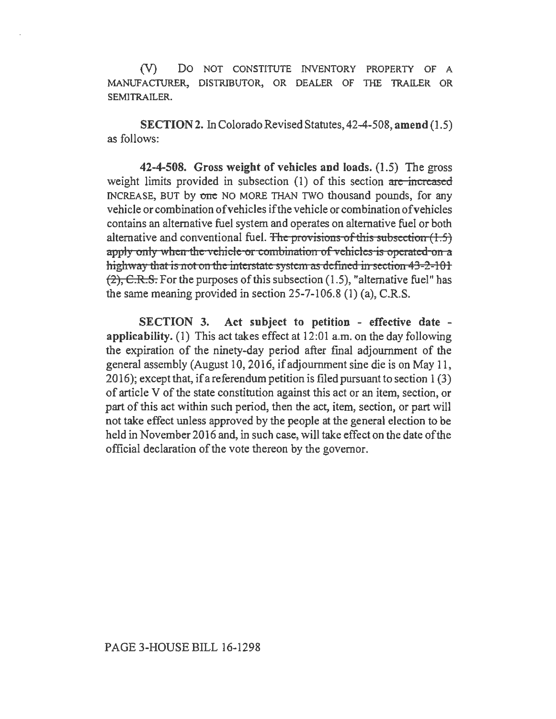(V) DO NOT CONSTITUTE INVENTORY PROPERTY OF A MANUFACTURER, DISTRIBUTOR, OR DEALER OF THE TRAILER OR SEM1TRAILER.

SECTION 2. In Colorado Revised Statutes, 42-4-508, amend (1.5) as follows:

42-4-508. Gross weight of vehicles and loads. (1.5) The gross weight limits provided in subsection  $(1)$  of this section are increased INCREASE, BUT by one NO MORE THAN TWO thousand pounds, for any vehicle or combination ofvehicles if the vehicle or combination of vehicles contains an alternative fuel system and operates on alternative fuel or both alternative and conventional fuel. The provisions of this subsection  $(1.5)$ apply only when the vehicle or combination of vehicles is operated on a highway that is not on the interstate system as defined in section  $43 - 2 - 101$  $(2)$ , C.R.S. For the purposes of this subsection (1.5), "alternative fuel" has the same meaning provided in section 25-7-106.8 (1) (a), C.R.S.

SECTION 3. Act subject to petition - effective date applicability. (1) This act takes effect at 12:01 a.m. on the day following the expiration of the ninety-day period after fmal adjournment of the general assembly (August 10,2016, if adjournment sine die is on May 11, 20 16); except that, if a referendum petition is filed pursuant to section 1 (3) of article V of the state constitution against this act or an item, section, or part of this act within such period, then the act, item, section, or part will not take effect unless approved by the people at the general election to be held in November 2016 and, in such case, will take effect on the date of the official declaration of the vote thereon by the governor.